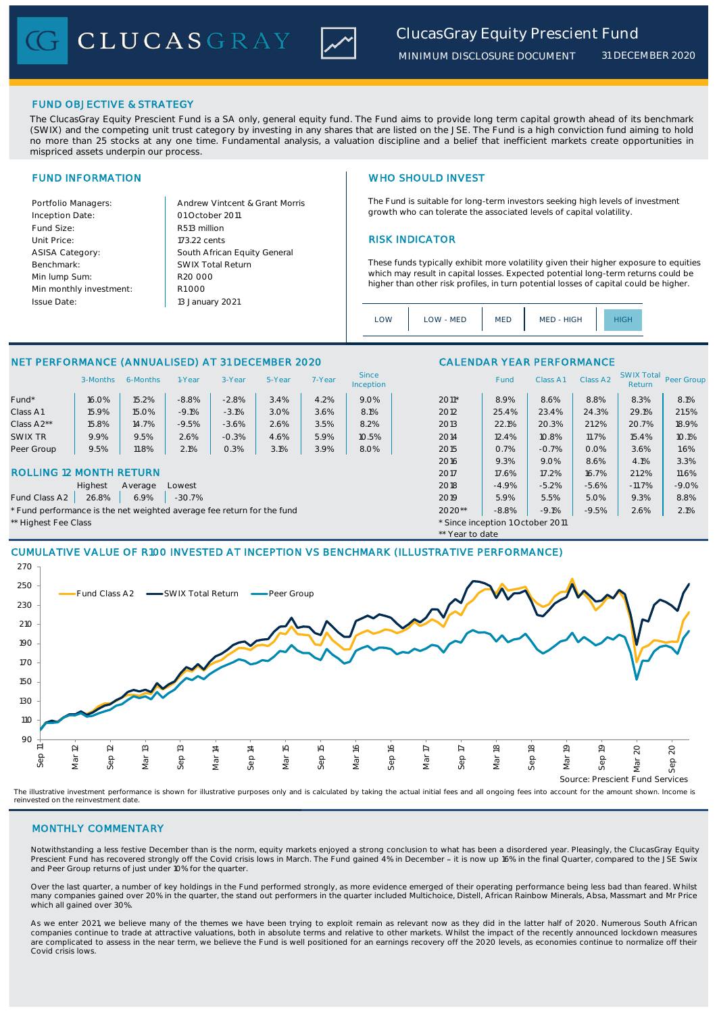CLUCASGRAY V



## FUND OBJECTIVE & STRATEGY

The ClucasGray Equity Prescient Fund is a SA only, general equity fund. The Fund aims to provide long term capital growth ahead of its benchmark (SWIX) and the competing unit trust category by investing in any shares that are listed on the JSE. The Fund is a high conviction fund aiming to hold no more than 25 stocks at any one time. Fundamental analysis, a valuation discipline and a belief that inefficient markets create opportunities in mispriced assets underpin our process

Inception Date: Fund Size: **R513 million** ASISA Category: Benchmark: Min lump Sum: Min monthly investment: Issue Date:

Portfolio Managers: Andrew Vintcent & Grant Morris Unit Price: 173.22 cents **RISK INDICATOR** South African Equity General 173.22 cents  $R1$  000 01 October 2011 13 January 2021 R20 000 SWIX Total Return

## FUND INFORMATION NETWORK IN THE SERVICE SERVICE SERVICE SERVICE SERVICE SERVICE SERVICE SERVICE SERVICE SERVICE SERVICE SERVICE SERVICE SERVICE SERVICE SERVICE SERVICE SERVICE SERVICE SERVICE SERVICE SERVICE SERVICE SERVIC

The Fund is suitable for long-term investors seeking high levels of investment growth who can tolerate the associated levels of capital volatility.

These funds typically exhibit more volatility given their higher exposure to equities which may result in capital losses. Expected potential long-term returns could be higher than other risk profiles, in turn potential losses of capital could be higher.

2016 9.3% 9.0% 8.6% 4.1% 3.3%

SWIX Total<br>Return Peer Group

|  | OW | LOW - MED | <b>MED</b> | MED - HIGH |  |  |
|--|----|-----------|------------|------------|--|--|
|--|----|-----------|------------|------------|--|--|

\*\* Year to date

### NET PERFORMANCE (ANNUALISED) AT 31 DECEMBER 2020 CALENDAR YEAR PERFORMANCE

|            | 3-Months | 6-Months | I-Year  | 3-Year  | 5-Year | 7-Year | Since<br><b>Inception</b> |         | Fund  | Class A1 | Class A2 | <b>SWIX Total</b><br>Return | Peer Gro |
|------------|----------|----------|---------|---------|--------|--------|---------------------------|---------|-------|----------|----------|-----------------------------|----------|
| Fund*      | 16.0%    | 15.2%    | $-8.8%$ | $-2.8%$ | 3.4%   | 4.2%   | 9.0%                      | $2011*$ | 8.9%  | 8.6%     | 8.8%     | 8.3%                        | 8.1%     |
| Class A1   | 15.9%    | 15.0%    | $-9.1%$ | $-3.1%$ | 3.0%   | 3.6%   | 8.1%                      | 2012    | 25.4% | 23.4%    | 24.3%    | 29.1%                       | 21.5%    |
| Class A2** | 15.8%    | 14.7%    | $-9.5%$ | $-3.6%$ | 2.6%   | 3.5%   | 8.2%                      | 2013    | 22.1% | 20.3%    | 21.2%    | 20.7%                       | 18.9%    |
| SWIX TR    | 9.9%     | 9.5%     | 2.6%    | $-0.3%$ | 4.6%   | 5.9%   | 10.5%                     | 2014    | 12.4% | 10.8%    | 11.7%    | 15.4%                       | 10.1%    |
| Peer Group | 9.5%     | 11.8%    | 2.1%    | 0.3%    | 3.1%   | 3.9%   | 8.0%                      | 2015    | 0.7%  | $-0.7%$  | 0.0%     | 3.6%                        | 1.6%     |

### ROLLING 12 MONTH RETURN 2017 2017 2017 2017 2017 2017 2017 2018 21.2% 21.2% 21.2% 21.2% 21.2% 21.2%

Highest Average Lowest 2018 -4.9% -5.2% -5.6% -11.7% -9.0%

Fund Class A2 26.8% 6.9% -30.7% 2019 5.9% 5.5% 5.0% 9.3% 8.8%

\* Fund performance is the net weighted average fee return for the fund  $2020**$   $-8.8\%$   $-9.1\%$   $-9.5\%$   $-9.5\%$   $2.6\%$   $-2.1\%$ 

\*\* Highest Fee Class \* Since inception 1 October 2011

## CUMULATIVE VALUE OF R100 INVESTED AT INCEPTION VS BENCHMARK (ILLUSTRATIVE PERFORMANCE)



The illustrative investment performance is shown for illustrative purposes only and is calculated by taking the actual initial fees and all ongoing fees into account for the amount shown. Income is<br>reinvested on the reinve

## MONTHLY COMMENTARY

Notwithstanding a less festive December than is the norm, equity markets enjoyed a strong conclusion to what has been a disordered year. Pleasingly, the ClucasGray Equity Prescient Fund has recovered strongly off the Covid crisis lows in March. The Fund gained 4% in December - it is now up 16% in the final Quarter, compared to the JSE Swix and Peer Group returns of just under 10% for the quarter

Over the last quarter, a number of key holdings in the Fund performed strongly, as more evidence emerged of their operating performance being less bad than feared. Whilst many companies gained over 20% in the quarter, the stand out performers in the quarter included Multichoice, Distell, African Rainbow Minerals, Absa, Massmart and Mr Price which all gained over 30%

As we enter 2021, we believe many of the themes we have been trying to exploit remain as relevant now as they did in the latter half of 2020. Numerous South African companies continue to trade at attractive valuations, both in absolute terms and relative to other markets. Whilst the impact of the recently announced lockdown measures are complicated to assess in the near term, we believe the Fund is well positioned for an earnings recovery off the 2020 levels, as economies continue to normalize off their Covid crisis lows.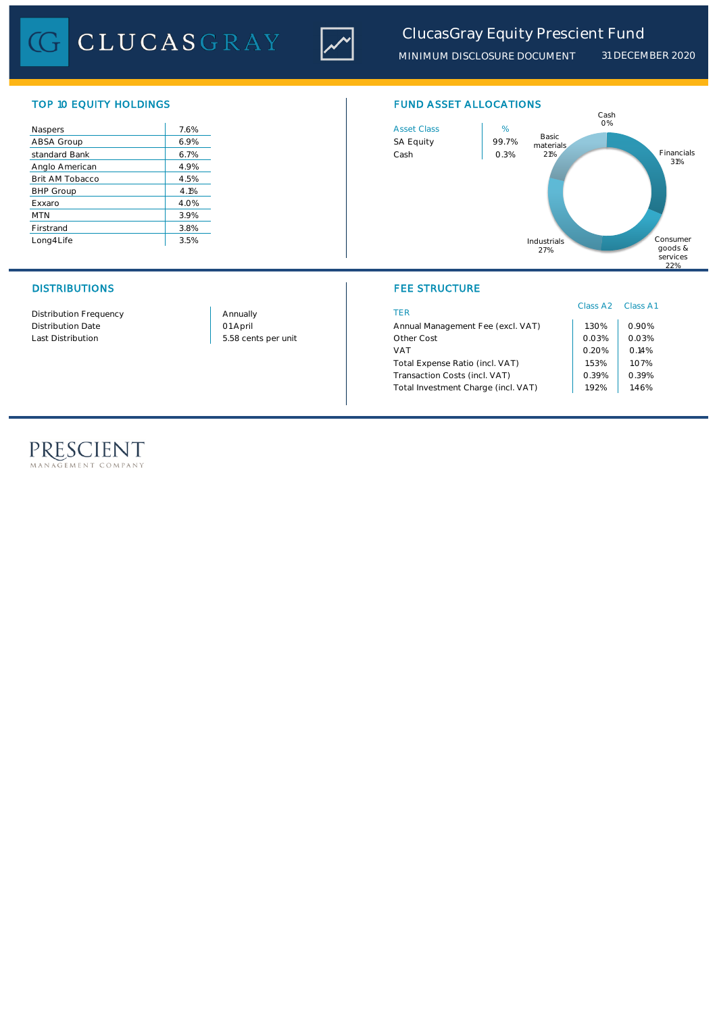

## *ClucasGray Equity Prescient Fund*

*MINIMUM DISCLOSURE DOCUMENT 31 DECEMBER 2020*

| Naspers          | 7.6% | <b>Asset Class</b> |  |
|------------------|------|--------------------|--|
| ABSA Group       | 6.9% | <b>SA Equity</b>   |  |
| standard Bank    | 6.7% | Cash               |  |
| Anglo American   | 4.9% |                    |  |
| Brit AM Tobacco  | 4.5% |                    |  |
| <b>BHP Group</b> | 4.1% |                    |  |
| Exxaro           | 4.0% |                    |  |
| <b>MTN</b>       | 3.9% |                    |  |
| Firstrand        | 3.8% |                    |  |
| Long4Life        | 3.5% |                    |  |



## DISTRIBUTIONS FEE STRUCTURE

| <b>TFR</b>                          | Class A2 Class A1 |       |
|-------------------------------------|-------------------|-------|
| Annual Management Fee (excl. VAT)   | 1.30%             | 0.90% |
| Other Cost                          | 0.03%             | 0.03% |
| VAT                                 | 0.20%             | 0.14% |
| Total Expense Ratio (incl. VAT)     | 1.53%             | 1.07% |
| Transaction Costs (incl. VAT)       | 0.39%             | 0.39% |
| Total Investment Charge (incl. VAT) | 192%              | 1.46% |

Distribution Frequency Distribution Date Last Distribution 1.03% 0.03% 0.03% 0.03% 0.03% 0.03% 0.03% 0.03% 0.03% 0.03% 0.03% 0.03% 0.03% 0.03% 0.03% 0.0

01 April Annually

# PRESCIENT